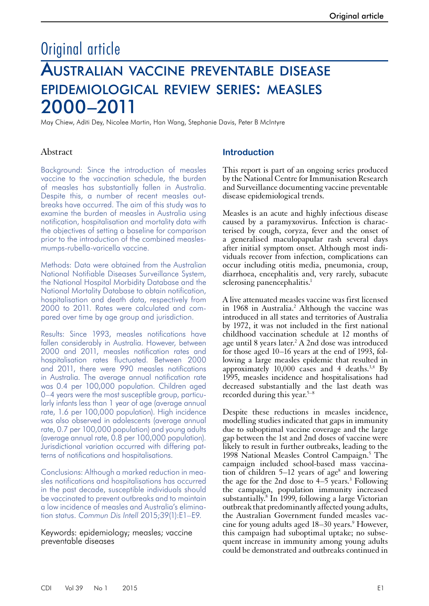# Original article

# Australian vaccine preventable disease epidemiological review series: measles 2000–2011

May Chiew, Aditi Dey, Nicolee Martin, Han Wang, Stephanie Davis, Peter B McIntyre

## Abstract

Background: Since the introduction of measles vaccine to the vaccination schedule, the burden of measles has substantially fallen in Australia. Despite this, a number of recent measles outbreaks have occurred. The aim of this study was to examine the burden of measles in Australia using notification, hospitalisation and mortality data with the objectives of setting a baseline for comparison prior to the introduction of the combined measlesmumps-rubella-varicella vaccine.

Methods: Data were obtained from the Australian National Notifiable Diseases Surveillance System, the National Hospital Morbidity Database and the National Mortality Database to obtain notification, hospitalisation and death data, respectively from 2000 to 2011. Rates were calculated and compared over time by age group and jurisdiction.

Results: Since 1993, measles notifications have fallen considerably in Australia. However, between 2000 and 2011, measles notification rates and hospitalisation rates fluctuated. Between 2000 and 2011, there were 990 measles notifications in Australia. The average annual notification rate was 0.4 per 100,000 population. Children aged 0–4 years were the most susceptible group, particularly infants less than 1 year of age (average annual rate, 1.6 per 100,000 population). High incidence was also observed in adolescents (average annual rate, 0.7 per 100,000 population) and young adults (average annual rate, 0.8 per 100,000 population). Jurisdictional variation occurred with differing patterns of notifications and hospitalisations.

Conclusions: Although a marked reduction in measles notifications and hospitalisations has occurred in the past decade, susceptible individuals should be vaccinated to prevent outbreaks and to maintain a low incidence of measles and Australia's elimination status. *Commun Dis Intell* 2015;39(1):E1–E9.

Keywords: epidemiology; measles; vaccine preventable diseases

# **Introduction**

This report is part of an ongoing series produced by the National Centre for Immunisation Research and Surveillance documenting vaccine preventable disease epidemiological trends.

Measles is an acute and highly infectious disease caused by a paramyxovirus. Infection is characterised by cough, coryza, fever and the onset of a generalised maculopapular rash several days after initial symptom onset. Although most individuals recover from infection, complications can occur including otitis media, pneumonia, croup, diarrhoea, encephalitis and, very rarely, subacute sclerosing panencephalitis.<sup>1</sup>

A live attenuated measles vaccine was first licensed in 1968 in Australia.<sup>2</sup> Although the vaccine was introduced in all states and territories of Australia by 1972, it was not included in the first national childhood vaccination schedule at 12 months of age until 8 years later.<sup>2</sup> A 2nd dose was introduced for those aged 10–16 years at the end of 1993, following a large measles epidemic that resulted in approximately  $10,000$  cases and 4 deaths.<sup>3,4</sup> By 1995, measles incidence and hospitalisations had decreased substantially and the last death was recorded during this year.<sup>5–8</sup>

Despite these reductions in measles incidence, modelling studies indicated that gaps in immunity due to suboptimal vaccine coverage and the large gap between the 1st and 2nd doses of vaccine were likely to result in further outbreaks, leading to the 1998 National Measles Control Campaign.<sup>5</sup> The campaign included school-based mass vaccination of children  $5-12$  years of age<sup>8</sup> and lowering the age for the 2nd dose to  $4-5$  years.<sup>3</sup> Following the campaign, population immunity increased substantially.<sup>8</sup> In 1999, following a large Victorian outbreak that predominantly affected young adults, the Australian Government funded measles vac-<br>cine for young adults aged 18–30 years.<sup>9</sup> However, this campaign had suboptimal uptake; no subse- quent increase in immunity among young adults could be demonstrated and outbreaks continued in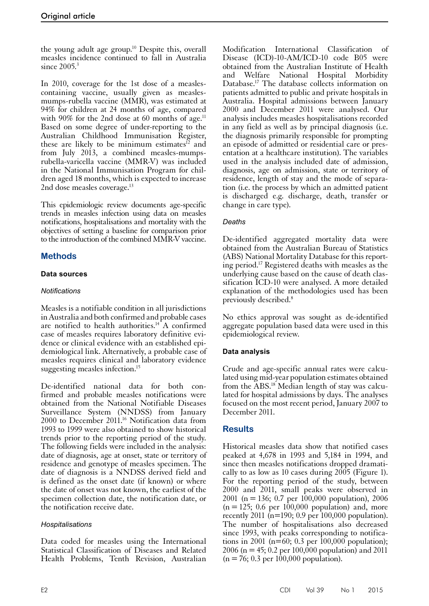the young adult age group.10 Despite this, overall measles incidence continued to fall in Australia since  $2005$ <sup>3</sup>

In 2010, coverage for the 1st dose of a measlescontaining vaccine, usually given as measlesmumps-rubella vaccine (MMR), was estimated at 94% for children at 24 months of age, compared with 90% for the 2nd dose at 60 months of age.<sup>11</sup> Based on some degree of under-reporting to the Australian Childhood Immunisation Register, these are likely to be minimum estimates<sup>12</sup> and from July 2013, a combined measles-mumpsrubella-varicella vaccine (MMR-V) was included in the National Immunisation Program for children aged 18 months, which is expected to increase 2nd dose measles coverage.<sup>13</sup>

This epidemiologic review documents age-specific trends in measles infection using data on measles notifications, hospitalisations and mortality with the objectives of setting a baseline for comparison prior to the introduction of the combined MMR-V vaccine.

# **Methods**

## **Data sources**

## *Notifications*

Measles is a notifiable condition in all jurisdictions in Australia and both confirmed and probable cases are notified to health authorities. $14A$  confirmed case of measles requires laboratory definitive evi- dence or clinical evidence with an established epi- demiological link. Alternatively, a probable case of measles requires clinical and laboratory evidence suggesting measles infection.<sup>15</sup>

De-identified national data for both con- firmed and probable measles notifications were obtained from the National Notifiable Diseases Surveillance System (NNDSS) from January 2000 to December 2011.<sup>16</sup> Notification data from 1993 to 1999 were also obtained to show historical trends prior to the reporting period of the study. The following fields were included in the analysis: date of diagnosis, age at onset, state or territory of residence and genotype of measles specimen. The date of diagnosis is a NNDSS derived field and is defined as the onset date (if known) or where the date of onset was not known, the earliest of the specimen collection date, the notification date, or the notification receive date.

## *Hospitalisations*

Data coded for measles using the International Statistical Classification of Diseases and Related Health Problems, Tenth Revision, Australian

Modification International Classification of Disease (ICD)-10-AM/ICD-10 code B05 were obtained from the Australian Institute of Health and Welfare National Hospital Morbidity Database.17 The database collects information on patients admitted to public and private hospitals in Australia. Hospital admissions between January 2000 and December 2011 were analysed. Our analysis includes measles hospitalisations recorded in any field as well as by principal diagnosis (i.e. the diagnosis primarily responsible for prompting an episode of admitted or residential care or presentation at a healthcare institution). The variables used in the analysis included date of admission, diagnosis, age on admission, state or territory of residence, length of stay and the mode of separation (i.e. the process by which an admitted patient is discharged e.g. discharge, death, transfer or change in care type).

# *Deaths*

De-identified aggregated mortality data were obtained from the Australian Bureau of Statistics (ABS) National Mortality Database for this reporting period.17 Registered deaths with measles as the underlying cause based on the cause of death classification ICD-10 were analysed. A more detailed explanation of the methodologies used has been previously described.8

No ethics approval was sought as de-identified aggregate population based data were used in this epidemiological review.

# **Data analysis**

Crude and age-specific annual rates were calcu- lated using mid-year population estimates obtained from the ABS.<sup>18</sup> Median length of stay was calculated for hospital admissions by days. The analyses focused on the most recent period, January 2007 to December 2011.

# **Results**

Historical measles data show that notified cases peaked at 4,678 in 1993 and 5,184 in 1994, and since then measles notifications dropped dramatically to as low as 10 cases during 2005 (Figure 1). For the reporting period of the study, between 2000 and 2011, small peaks were observed in 2001 (n=136; 0.7 per 100,000 population), 2006  $(n=125; 0.6$  per  $100,000$  population) and, more recently 2011 ( $n=190$ ; 0.9 per 100,000 population). The number of hospitalisations also decreased since 1993, with peaks corresponding to notifications in 2001 ( $n=60$ ; 0.3 per  $100,000$  population); 2006 (n = 45; 0.2 per  $100,000$  population) and 2011  $(n=76; 0.3$  per  $100,000$  population).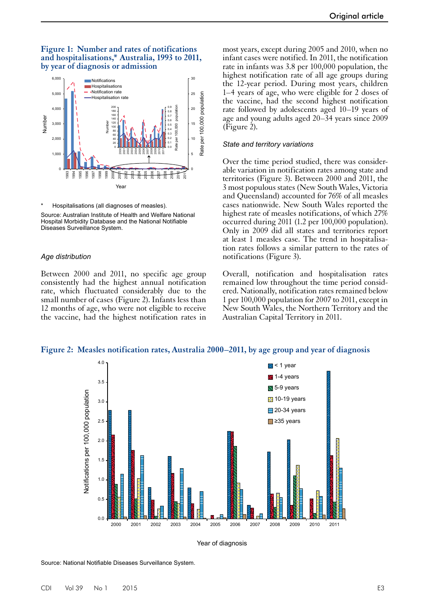### **Figure 1: Number and rates of notifications and hospitalisations,\* Australia, 1993 to 2011, by year of diagnosis or admission**



Hospitalisations (all diagnoses of measles). Source: Australian Institute of Health and Welfare National Hospital Morbidity Database and the National Notifiable Diseases Surveillance System.

#### *Age distribution*

Between 2000 and 2011, no specific age group consistently had the highest annual notification rate, which fluctuated considerably due to the small number of cases (Figure 2). Infants less than 12 months of age, who were not eligible to receive the vaccine, had the highest notification rates in

most years, except during 2005 and 2010, when no infant cases were notified. In 2011, the notification rate in infants was 3.8 per 100,000 population, the highest notification rate of all age groups during the 12-year period. During most years, children 1–4 years of age, who were eligible for 2 doses of the vaccine, had the second highest notification rate followed by adolescents aged 10–19 years of age and young adults aged 20–34 years since 2009 (Figure 2).

#### *State and territory variations*

Over the time period studied, there was considerable variation in notification rates among state and territories (Figure 3). Between 2000 and 2011, the 3 most populous states (New South Wales, Victoria and Queensland) accounted for 76% of all measles cases nationwide. New South Wales reported the highest rate of measles notifications, of which 27% occurred during 2011 (1.2 per 100,000 population). Only in 2009 did all states and territories report at least 1 measles case. The trend in hospitalisation rates follows a similar pattern to the rates of notifications (Figure 3).

Overall, notification and hospitalisation rates remained low throughout the time period considered. Nationally, notification rates remained below 1 per 100,000 population for 2007 to 2011, except in New South Wales, the Northern Territory and the Australian Capital Territory in 2011.





Year of diagnosis

Source: National Notifiable Diseases Surveillance System.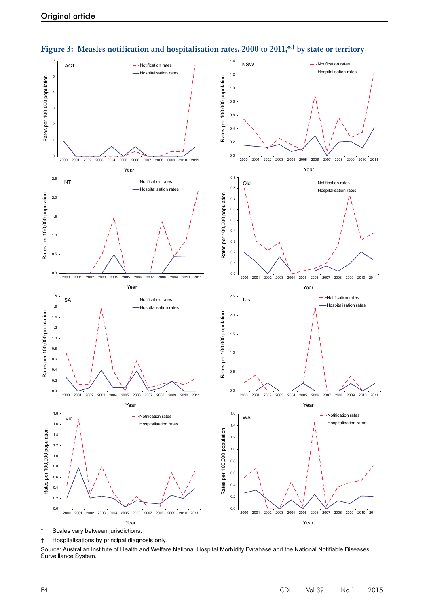



† Hospitalisations by principal diagnosis only.

Source: Australian Institute of Health and Welfare National Hospital Morbidity Database and the National Notifiable Diseases Surveillance System.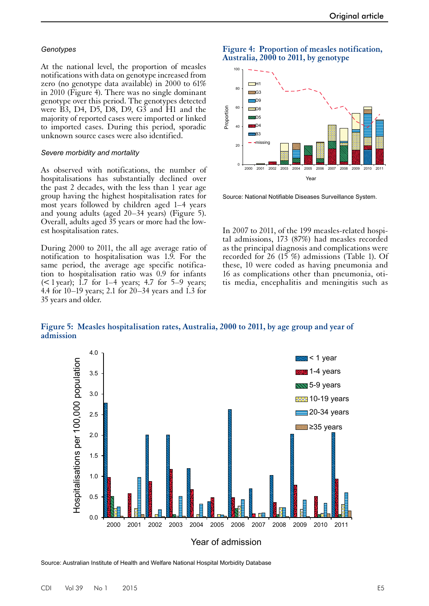#### *Genotypes*

At the national level, the proportion of measles notifications with data on genotype increased from zero (no genotype data available) in 2000 to 61% in 2010 (Figure 4). There was no single dominant genotype over this period. The genotypes detected were B3, D4, D5, D8, D9, G3 and H1 and the majority of reported cases were imported or linked to imported cases. During this period, sporadic unknown source cases were also identified.

#### *Severe morbidity and mortality*

As observed with notifications, the number of hospitalisations has substantially declined over the past 2 decades, with the less than 1 year age group having the highest hospitalisation rates for most years followed by children aged 1–4 years and young adults (aged 20–34 years) (Figure 5). Overall, adults aged 35 years or more had the lowest hospitalisation rates.

During 2000 to 2011, the all age average ratio of notification to hospitalisation was 1.9. For the same period, the average age specific notification to hospitalisation ratio was 0.9 for infants ( $\leq$  1 year); 1.7 for 1–4 years; 4.7 for 5–9 years; 4.4 for 10–19 years; 2.1 for 20–34 years and 1.3 for 35 years and older.

## **Figure 4: Proportion of measles notification, Australia, 2000 to 2011, by genotype**



Source: National Notifiable Diseases Surveillance System.

In 2007 to 2011, of the 199 measles-related hospital admissions, 173 (87%) had measles recorded as the principal diagnosis and complications were recorded for 26 (15 %) admissions (Table 1). Of these, 10 were coded as having pneumonia and 16 as complications other than pneumonia, otitis media, encephalitis and meningitis such as

**Figure 5: Measles hospitalisation rates, Australia, 2000 to 2011, by age group and year of admission**



Source: Australian Institute of Health and Welfare National Hospital Morbidity Database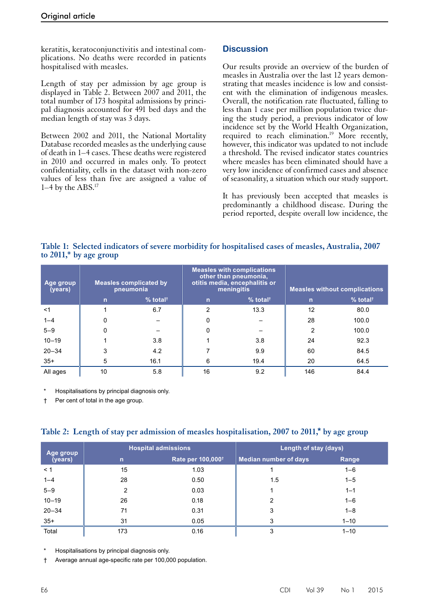keratitis, keratoconjunctivitis and intestinal complications. No deaths were recorded in patients hospitalised with measles.

Length of stay per admission by age group is displayed in Table 2. Between 2007 and 2011, the total number of 173 hospital admissions by principal diagnosis accounted for 491 bed days and the median length of stay was 3 days.

Between 2002 and 2011, the National Mortality Database recorded measles as the underlying cause of death in 1–4 cases. These deaths were registered in 2010 and occurred in males only. To protect confidentiality, cells in the dataset with non-zero values of less than five are assigned a value of 1–4 by the ABS.17

## **Discussion**

Our results provide an overview of the burden of measles in Australia over the last 12 years demonstrating that measles incidence is low and consistent with the elimination of indigenous measles. Overall, the notification rate fluctuated, falling to less than 1 case per million population twice during the study period, a previous indicator of low incidence set by the World Health Organization, required to reach elimination.<sup>19</sup> More recently, however, this indicator was updated to not include a threshold. The revised indicator states countries where measles has been eliminated should have a very low incidence of confirmed cases and absence of seasonality, a situation which our study support.

It has previously been accepted that measles is predominantly a childhood disease. During the period reported, despite overall low incidence, the

## **Table 1: Selected indicators of severe morbidity for hospitalised cases of measles, Australia, 2007 to 2011,\* by age group**

| Age group<br>(years) | <b>Measles complicated by</b><br>pneumonia |                        | <b>Measles with complications</b><br>other than pneumonia,<br>otitis media, encephalitis or<br>meningitis |                        | <b>Measles without complications</b> |                        |
|----------------------|--------------------------------------------|------------------------|-----------------------------------------------------------------------------------------------------------|------------------------|--------------------------------------|------------------------|
|                      | n                                          | $%$ total <sup>†</sup> | n                                                                                                         | $%$ total <sup>†</sup> | n                                    | $%$ total <sup>†</sup> |
| $<$ 1                |                                            | 6.7                    | 2                                                                                                         | 13.3                   | 12                                   | 80.0                   |
| $1 - 4$              |                                            |                        |                                                                                                           |                        | 28                                   | 100.0                  |
| $5 - 9$              |                                            |                        |                                                                                                           |                        | 2                                    | 100.0                  |
| $10 - 19$            |                                            | 3.8                    |                                                                                                           | 3.8                    | 24                                   | 92.3                   |
| $20 - 34$            |                                            | 4.2                    |                                                                                                           | 9.9                    | 60                                   | 84.5                   |
| $35+$                | 5                                          | 16.1                   | 6                                                                                                         | 19.4                   | 20                                   | 64.5                   |
| All ages             | 10                                         | 5.8                    | 16                                                                                                        | 9.2                    | 146                                  | 84.4                   |

Hospitalisations by principal diagnosis only.

† Per cent of total in the age group.

|  |  | Table 2: Length of stay per admission of measles hospitalisation, 2007 to 2011,* by age group |  |  |  |  |
|--|--|-----------------------------------------------------------------------------------------------|--|--|--|--|
|--|--|-----------------------------------------------------------------------------------------------|--|--|--|--|

| Age group<br>(years) |              | <b>Hospital admissions</b>           | Length of stay (days)        |          |  |
|----------------------|--------------|--------------------------------------|------------------------------|----------|--|
|                      | $\mathsf{n}$ | <b>Rate per 100,000</b> <sup>t</sup> | <b>Median number of days</b> | Range    |  |
| < 1                  | 15           | 1.03                                 |                              | $1 - 6$  |  |
| $1 - 4$              | 28           | 0.50                                 | 1.5                          | $1 - 5$  |  |
| $5 - 9$              | 2            | 0.03                                 |                              | $1 - 1$  |  |
| $10 - 19$            | 26           | 0.18                                 | 2                            | $1 - 6$  |  |
| $20 - 34$            | 71           | 0.31                                 | 3                            | $1 - 8$  |  |
| $35+$                | 31           | 0.05                                 | 3                            | $1 - 10$ |  |
| Total                | 173          | 0.16                                 | 3                            | $1 - 10$ |  |

Hospitalisations by principal diagnosis only.

† Average annual age-specific rate per 100,000 population.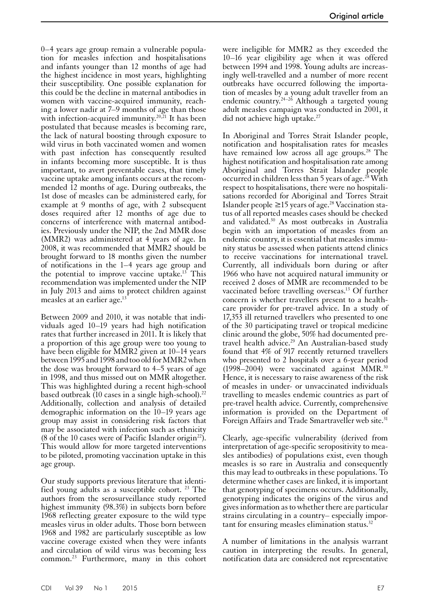0–4 years age group remain a vulnerable population for measles infection and hospitalisations and infants younger than 12 months of age had the highest incidence in most years, highlighting their susceptibility. One possible explanation for this could be the decline in maternal antibodies in women with vaccine-acquired immunity, reaching a lower nadir at 7–9 months of age than those with infection-acquired immunity.<sup>20,21</sup> It has been postulated that because measles is becoming rare, the lack of natural boosting through exposure to wild virus in both vaccinated women and women with past infection has consequently resulted in infants becoming more susceptible. It is thus important, to avert preventable cases, that timely vaccine uptake among infants occurs at the recommended 12 months of age. During outbreaks, the 1st dose of measles can be administered early, for example at 9 months of age, with 2 subsequent doses required after 12 months of age due to concerns of interference with maternal antibodies. Previously under the NIP, the 2nd MMR dose (MMR2) was administered at 4 years of age. In 2008, it was recommended that MMR2 should be brought forward to 18 months given the number of notifications in the 1–4 years age group and the potential to improve vaccine uptake.<sup>13</sup> This recommendation was implemented under the NIP in July 2013 and aims to protect children against measles at an earlier age.<sup>13</sup>

Between 2009 and 2010, it was notable that individuals aged 10–19 years had high notification rates that further increased in 2011. It is likely that a proportion of this age group were too young to have been eligible for MMR2 given at 10–14 years between 1995 and 1998 and too old for MMR2 when the dose was brought forward to 4–5 years of age in 1998, and thus missed out on MMR altogether. This was highlighted during a recent high-school based outbreak (10 cases in a single high-school). $^{22}$ Additionally, collection and analysis of detailed demographic information on the 10–19 years age group may assist in considering risk factors that may be associated with infection such as ethnicity (8 of the 10 cases were of Pacific Islander origin<sup>22</sup>). This would allow for more targeted interventions to be piloted, promoting vaccination uptake in this age group.

Our study supports previous literature that identi-<br>fied young adults as a susceptible cohort. <sup>23</sup> The authors from the serosurveillance study reported highest immunity (98.3%) in subjects born before 1968 reflecting greater exposure to the wild type measles virus in older adults. Those born between 1968 and 1982 are particularly susceptible as low vaccine coverage existed when they were infants and circulation of wild virus was becoming less common.23 Furthermore, many in this cohort

were ineligible for MMR2 as they exceeded the 10–16 year eligibility age when it was offered between 1994 and 1998. Young adults are increasingly well-travelled and a number of more recent outbreaks have occurred following the importation of measles by a young adult traveller from an endemic country.<sup>24–26</sup> Although a targeted young adult measles campaign was conducted in 2001, it did not achieve high uptake.<sup>27</sup>

In Aboriginal and Torres Strait Islander people, notification and hospitalisation rates for measles have remained low across all age groups.<sup>28</sup> The highest notification and hospitalisation rate among Aboriginal and Torres Strait Islander people occurred in children less than 5 years of age.<sup>28</sup> With respect to hospitalisations, there were no hospitalisations recorded for Aboriginal and Torres Strait Islander people ≥15 years of age.28 Vaccination status of all reported measles cases should be checked and validated.30 As most outbreaks in Australia begin with an importation of measles from an endemic country, it is essential that measles immunity status be assessed when patients attend clinics to receive vaccinations for international travel. Currently, all individuals born during or after 1966 who have not acquired natural immunity or received 2 doses of MMR are recommended to be vaccinated before travelling overseas.<sup>13</sup> Of further concern is whether travellers present to a healthcare provider for pre-travel advice. In a study of 17,353 ill returned travellers who presented to one of the 30 participating travel or tropical medicine clinic around the globe, 50% had documented pretravel health advice.<sup>29</sup> An Australian-based study found that 4% of 917 recently returned travellers who presented to 2 hospitals over a 6-year period  $(1998-2004)$  were vaccinated against MMR.<sup>30</sup> Hence, it is necessary to raise awareness of the risk of measles in under- or unvaccinated individuals travelling to measles endemic countries as part of pre-travel health advice. Currently, comprehensive information is provided on the Department of Foreign Affairs and Trade Smartraveller web site.<sup>31</sup>

Clearly, age-specific vulnerability (derived from interpretation of age-specific seropositivity to measles antibodies) of populations exist, even though measles is so rare in Australia and consequently this may lead to outbreaks in these populations. To determine whether cases are linked, it is important that genotyping of specimens occurs. Additionally, genotyping indicates the origins of the virus and gives information as to whether there are particular strains circulating in a country– especially important for ensuring measles elimination status.<sup>32</sup>

A number of limitations in the analysis warrant caution in interpreting the results. In general, notification data are considered not representative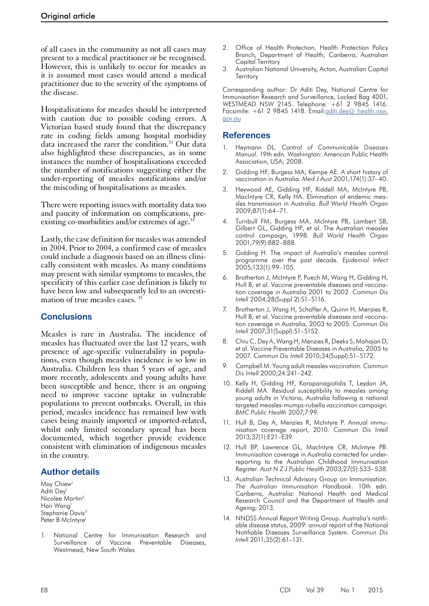of all cases in the community as not all cases may present to a medical practitioner or be recognised. However, this is unlikely to occur for measles as it is assumed most cases would attend a medical practitioner due to the severity of the symptoms of the disease.

Hospitalisations for measles should be interpreted with caution due to possible coding errors. A Victorian based study found that the discrepancy rate in coding fields among hospital morbidity data increased the rarer the condition.<sup>33</sup> Our data also highlighted these discrepancies, as in some instances the number of hospitalisations exceeded the number of notifications suggesting either the under-reporting of measles notifications and/or the miscoding of hospitalisations as measles.

There were reporting issues with mortality data too and paucity of information on complications, preexisting co-morbidities and/or extremes of age.<sup>3</sup>

Lastly, the case definition for measles was amended in 2004. Prior to 2004, a confirmed case of measles could include a diagnosis based on an illness clinically consistent with measles. As many conditions may present with similar symptoms to measles, the specificity of this earlier case definition is likely to have been low and subsequently led to an overestimation of true measles cases. 35

## **Conclusions**

Measles is rare in Australia. The incidence of measles has fluctuated over the last 12 years, with presence of age-specific vulnerability in popula- tions, even though measles incidence is so low in Australia. Children less than 5 years of age, and more recently, adolescents and young adults have been susceptible and hence, there is an ongoing need to improve vaccine uptake in vulnerable populations to prevent outbreaks. Overall, in this period, measles incidence has remained low with cases being mainly imported or imported-related, whilst only limited secondary spread has been documented, which together provide evidence consistent with elimination of indigenous measles in the country.

## **Author details**

May Chiew<sup>1</sup> Aditi Dey<sup>1</sup> Nicolee Martin2 Han Wang1 Stephanie Davis<sup>3</sup> Peter B McIntyre<sup>1</sup>

1. National Centre for Immunisation Research and Surveillance of Vaccine Preventable Diseases, Westmead, New South Wales

- 2. Office of Health Protection, Health Protection Policy Branch, Department of Health, Canberra, Australian Capital Territory
- 3. Australian National University, Acton, Australian Capital **Territory**

Corresponding author: Dr Aditi Dey, National Centre for Immunisation Research and Surveillance, Locked Bag 4001, WESTMEAD NSW 2145. Telephone: +61 2 9845 1416. Facsimile: +61 2 9845 1418. Email:[aditi.dey@ health.nsw.](mailto:aditi.dey@%20health.nsw.gov.au) [gov.au](mailto:aditi.dey@%20health.nsw.gov.au)

## **References**

- 1. Heymann DL. *Control of Communicable Diseases Manual*. 19th edn. Washington: American Public Health Association, USA; 2008.
- 2. Gidding HF, Burgess MA, Kempe AE. A short history of vaccination in Australia*. Med J Aust* 2001;174(1):37–40.
- Heywood AE, Gidding HF, Riddell MA, McIntyre PB, MacIntyre CR, Kelly HA. Elimination of endemic measles transmission in Australia*. Bull World Health Organ* 2009;87(1):64–71.
- 4. Turnbull FM, Burgess MA, McIntyre PB, Lambert SB, Gilbert GL, Gidding HF, et al. The Australian measles control campaign, 1998*. Bull World Health Organ* 2001;79(9):882–888.
- 5. Gidding H. The impact of Australia's measles control programme over the past decade*. Epidemiol Infect* 2005;133(1):99–105.
- Brotherton J, McIntyre P, Puech M, Wang H, Gidding H, Hull B, et al. Vaccine preventable diseases and vaccination coverage in Australia 2001 to 2002*. Commun Dis Intell* 2004;28(Suppl 2):S1–S116.
- 7. Brotherton J, Wang H, Schaffer A, Quinn H, Menzies R, Hull B, et al. Vaccine preventable diseases and vaccination coverage in Australia, 2003 to 2005*. Commun Dis Intell* 2007;31(Suppl):S1–S152.
- 8. Chiu C, Dey A, Wang H, Menzies R, Deeks S, Mahajan D, et al. Vaccine Preventable Diseases in Australia, 2005 to 2007*. Commun Dis Intell* 2010;34(Suppl):S1–S172.
- 9. Campbell M. Young adult measles vaccination*. Commun Dis Intell* 2000;24:241–242.
- 10. Kelly H, Gidding HF, Karapanagiotidis T, Leydon JA, Riddell MA. Residual susceptibility to measles among young adults in Victoria, Australia following a national targeted measles-mumps-rubella vaccination campaign*. BMC Public Health* 2007;7:99.
- 11. Hull B, Dey A, Menzies R, McIntyre P. Annual immunisation coverage report, 2010*. Commun Dis Intell* 2013;37(1):E21–E39.
- 12. Hull BP, Lawrence GL, MacIntyre CR, McIntyre PB. Immunisation coverage in Australia corrected for underreporting to the Australian Childhood Immunisation Register*. Aust N Z J Public Health* 2003;27(5):533–538.
- 13. Australian Technical Advisory Group on Immunisation. *The Australian Immunisation Handbook*. 10th edn. Canberra, Australia: National Health and Medical Research Council and the Department of Health and Ageing; 2013.
- 14. NNDSS Annual Report Writing Group. Australia's notifiable disease status, 2009: annual report of the National Notifiable Diseases Surveillance System*. Commun Dis Intell* 2011;35(2):61–131.